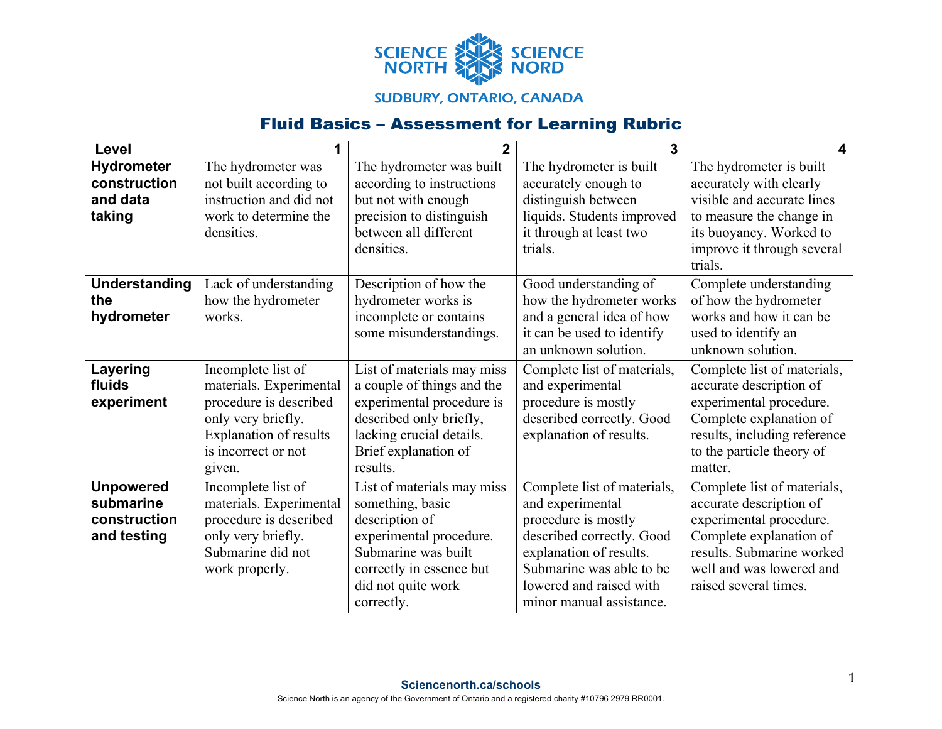

## **SUDBURY, ONTARIO, CANADA**

## Fluid Basics – Assessment for Learning Rubric

| Level                                                        | 1                                                                                                                                                        | $\overline{2}$                                                                                                                                                                     | 3                                                                                                                                                                                                                 | 4                                                                                                                                                                                              |
|--------------------------------------------------------------|----------------------------------------------------------------------------------------------------------------------------------------------------------|------------------------------------------------------------------------------------------------------------------------------------------------------------------------------------|-------------------------------------------------------------------------------------------------------------------------------------------------------------------------------------------------------------------|------------------------------------------------------------------------------------------------------------------------------------------------------------------------------------------------|
| <b>Hydrometer</b><br>construction<br>and data<br>taking      | The hydrometer was<br>not built according to<br>instruction and did not<br>work to determine the<br>densities.                                           | The hydrometer was built<br>according to instructions<br>but not with enough<br>precision to distinguish<br>between all different<br>densities.                                    | The hydrometer is built<br>accurately enough to<br>distinguish between<br>liquids. Students improved<br>it through at least two<br>trials.                                                                        | The hydrometer is built<br>accurately with clearly<br>visible and accurate lines<br>to measure the change in<br>its buoyancy. Worked to<br>improve it through several<br>trials.               |
| <b>Understanding</b><br>the<br>hydrometer                    | Lack of understanding<br>how the hydrometer<br>works.                                                                                                    | Description of how the<br>hydrometer works is<br>incomplete or contains<br>some misunderstandings.                                                                                 | Good understanding of<br>how the hydrometer works<br>and a general idea of how<br>it can be used to identify<br>an unknown solution.                                                                              | Complete understanding<br>of how the hydrometer<br>works and how it can be<br>used to identify an<br>unknown solution.                                                                         |
| Layering<br>fluids<br>experiment                             | Incomplete list of<br>materials. Experimental<br>procedure is described<br>only very briefly.<br>Explanation of results<br>is incorrect or not<br>given. | List of materials may miss<br>a couple of things and the<br>experimental procedure is<br>described only briefly,<br>lacking crucial details.<br>Brief explanation of<br>results.   | Complete list of materials,<br>and experimental<br>procedure is mostly<br>described correctly. Good<br>explanation of results.                                                                                    | Complete list of materials,<br>accurate description of<br>experimental procedure.<br>Complete explanation of<br>results, including reference<br>to the particle theory of<br>matter.           |
| <b>Unpowered</b><br>submarine<br>construction<br>and testing | Incomplete list of<br>materials. Experimental<br>procedure is described<br>only very briefly.<br>Submarine did not<br>work properly.                     | List of materials may miss<br>something, basic<br>description of<br>experimental procedure.<br>Submarine was built<br>correctly in essence but<br>did not quite work<br>correctly. | Complete list of materials,<br>and experimental<br>procedure is mostly<br>described correctly. Good<br>explanation of results.<br>Submarine was able to be<br>lowered and raised with<br>minor manual assistance. | Complete list of materials,<br>accurate description of<br>experimental procedure.<br>Complete explanation of<br>results. Submarine worked<br>well and was lowered and<br>raised several times. |